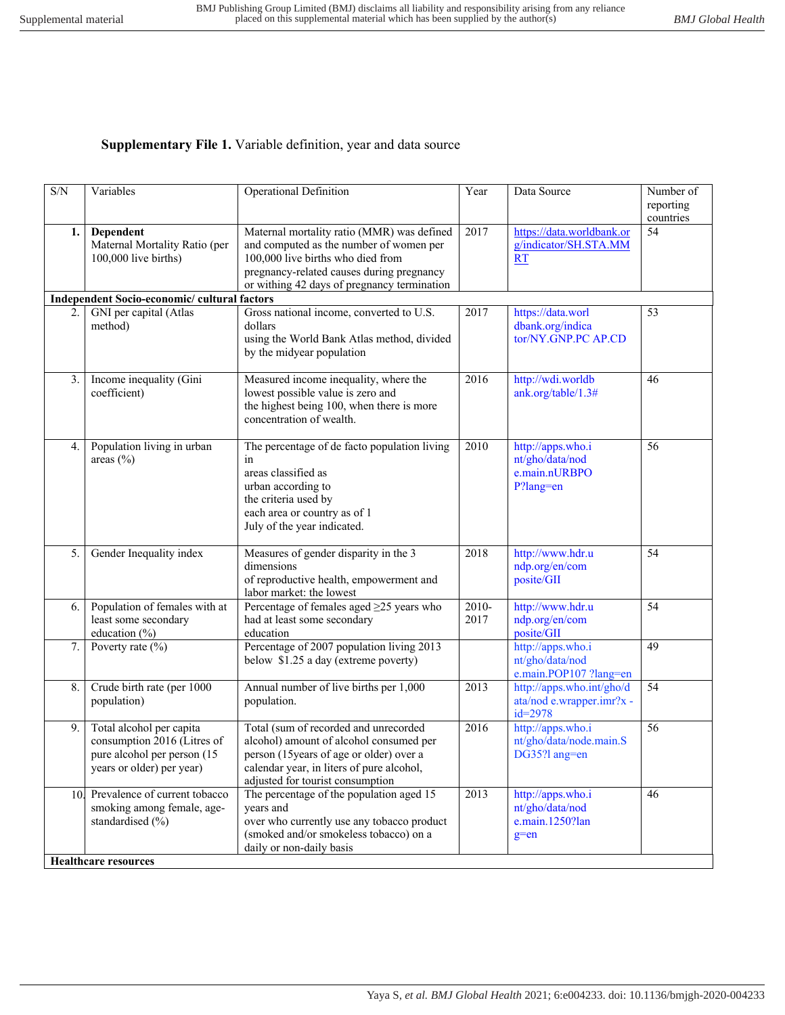## **Supplementary File 1.** Variable definition, year and data source

| 1.  | Dependent<br>Maternal Mortality Ratio (per<br>100,000 live births)                                                  | Maternal mortality ratio (MMR) was defined<br>and computed as the number of women per                                                                                                                         | 2017            | https://data.worldbank.or                                             | reporting<br>countries |
|-----|---------------------------------------------------------------------------------------------------------------------|---------------------------------------------------------------------------------------------------------------------------------------------------------------------------------------------------------------|-----------------|-----------------------------------------------------------------------|------------------------|
|     |                                                                                                                     |                                                                                                                                                                                                               |                 |                                                                       |                        |
|     |                                                                                                                     | 100,000 live births who died from<br>pregnancy-related causes during pregnancy<br>or withing 42 days of pregnancy termination                                                                                 |                 | g/indicator/SH.STA.MM<br>RT                                           | 54                     |
|     | Independent Socio-economic/ cultural factors                                                                        |                                                                                                                                                                                                               |                 |                                                                       |                        |
| 2.1 | GNI per capital (Atlas<br>method)                                                                                   | Gross national income, converted to U.S.<br>dollars<br>using the World Bank Atlas method, divided<br>by the midyear population                                                                                | 2017            | https://data.worl<br>dbank.org/indica<br>tor/NY.GNP.PC AP.CD          | 53                     |
| 3.  | Income inequality (Gini<br>coefficient)                                                                             | Measured income inequality, where the<br>lowest possible value is zero and<br>the highest being 100, when there is more<br>concentration of wealth.                                                           | 2016            | http://wdi.worldb<br>ank.org/table/1.3#                               | 46                     |
| 4.  | Population living in urban<br>areas (%)                                                                             | The percentage of de facto population living<br>in<br>areas classified as<br>urban according to<br>the criteria used by<br>each area or country as of 1<br>July of the year indicated.                        | 2010            | http://apps.who.i<br>nt/gho/data/nod<br>e.main.nURBPO<br>P?lang=en    | 56                     |
| 5.  | Gender Inequality index                                                                                             | Measures of gender disparity in the 3<br>dimensions<br>of reproductive health, empowerment and<br>labor market: the lowest                                                                                    | 2018            | http://www.hdr.u<br>ndp.org/en/com<br>posite/GII                      | 54                     |
| 6.  | Population of females with at<br>least some secondary<br>education (%)                                              | Percentage of females aged ≥25 years who<br>had at least some secondary<br>education                                                                                                                          | $2010-$<br>2017 | http://www.hdr.u<br>ndp.org/en/com<br>posite/GII                      | 54                     |
| 7.  | Poverty rate $(\% )$                                                                                                | Percentage of 2007 population living 2013<br>below \$1.25 a day (extreme poverty)                                                                                                                             |                 | http://apps.who.i<br>nt/gho/data/nod<br>e.main.POP107 ?lang=en        | 49                     |
| 8.  | Crude birth rate (per 1000<br>population)                                                                           | Annual number of live births per 1,000<br>population.                                                                                                                                                         | 2013            | http://apps.who.int/gho/d<br>ata/nod e.wrapper.imr?x -<br>$id = 2978$ | 54                     |
| 9.  | Total alcohol per capita<br>consumption 2016 (Litres of<br>pure alcohol per person (15<br>years or older) per year) | Total (sum of recorded and unrecorded<br>alcohol) amount of alcohol consumed per<br>person (15 years of age or older) over a<br>calendar year, in liters of pure alcohol,<br>adjusted for tourist consumption | 2016            | http://apps.who.i<br>nt/gho/data/node.main.S<br>DG35?l ang=en         | 56                     |
| 10. | Prevalence of current tobacco<br>smoking among female, age-<br>standardised (%)<br><b>Healthcare resources</b>      | The percentage of the population aged 15<br>years and<br>over who currently use any tobacco product<br>(smoked and/or smokeless tobacco) on a<br>daily or non-daily basis                                     | 2013            | http://apps.who.i<br>nt/gho/data/nod<br>e.main.1250?lan<br>$g=en$     | 46                     |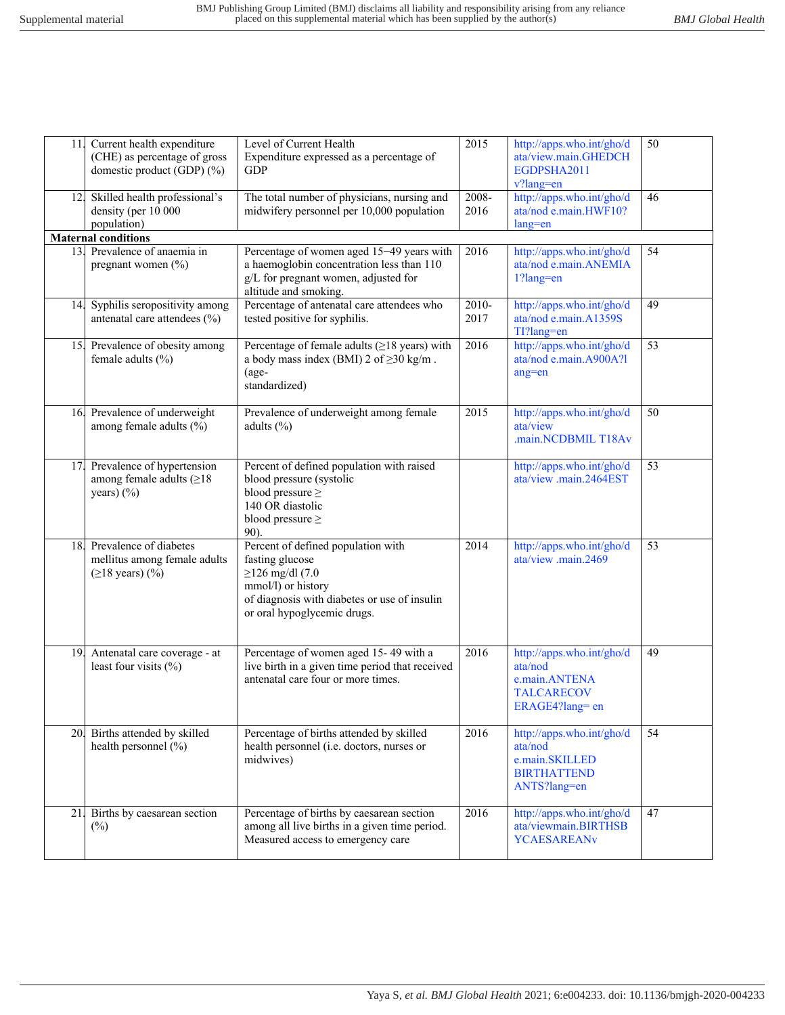| 11. | Current health expenditure<br>(CHE) as percentage of gross<br>domestic product (GDP) (%) | Level of Current Health<br>Expenditure expressed as a percentage of<br><b>GDP</b>                                                                                                   | 2015                        | http://apps.who.int/gho/d<br>ata/view.main.GHEDCH<br>EGDPSHA2011<br>v?lang=en                | 50 |
|-----|------------------------------------------------------------------------------------------|-------------------------------------------------------------------------------------------------------------------------------------------------------------------------------------|-----------------------------|----------------------------------------------------------------------------------------------|----|
| 12. | Skilled health professional's<br>density (per 10 000<br>population)                      | The total number of physicians, nursing and<br>midwifery personnel per 10,000 population                                                                                            | 2008-<br>2016               | http://apps.who.int/gho/d<br>ata/nod e.main.HWF10?<br>lang=en                                | 46 |
|     | <b>Maternal conditions</b>                                                               |                                                                                                                                                                                     |                             |                                                                                              |    |
| 13. | Prevalence of anaemia in<br>pregnant women (%)                                           | Percentage of women aged 15-49 years with<br>a haemoglobin concentration less than 110<br>g/L for pregnant women, adjusted for<br>altitude and smoking.                             | 2016                        | http://apps.who.int/gho/d<br>ata/nod e.main.ANEMIA<br>$1?$ lang=en                           | 54 |
| 14. | Syphilis seropositivity among<br>antenatal care attendees (%)                            | Percentage of antenatal care attendees who<br>tested positive for syphilis.                                                                                                         | $\overline{2010}$ -<br>2017 | http://apps.who.int/gho/d<br>ata/nod e.main.A1359S<br>TI?lang=en                             | 49 |
| 15. | Prevalence of obesity among<br>female adults (%)                                         | Percentage of female adults $(\geq 18 \text{ years})$ with<br>a body mass index (BMI) 2 of $\geq$ 30 kg/m.<br>$(age-$<br>standardized)                                              | 2016                        | http://apps.who.int/gho/d<br>ata/nod e.main.A900A?l<br>ang=en                                | 53 |
|     | 16. Prevalence of underweight<br>among female adults (%)                                 | Prevalence of underweight among female<br>adults $(\% )$                                                                                                                            | 2015                        | http://apps.who.int/gho/d<br>ata/view<br>.main.NCDBMIL T18Av                                 | 50 |
| 17. | Prevalence of hypertension<br>among female adults $(\geq 18)$<br>years) (%)              | Percent of defined population with raised<br>blood pressure (systolic<br>blood pressure $\geq$<br>140 OR diastolic<br>blood pressure $\geq$<br>90).                                 |                             | http://apps.who.int/gho/d<br>ata/view .main.2464EST                                          | 53 |
| 18. | Prevalence of diabetes<br>mellitus among female adults<br>$(≥18 \text{ years})$ (%)      | Percent of defined population with<br>fasting glucose<br>$\geq$ 126 mg/dl (7.0<br>mmol/l) or history<br>of diagnosis with diabetes or use of insulin<br>or oral hypoglycemic drugs. | 2014                        | http://apps.who.int/gho/d<br>ata/view .main.2469                                             | 53 |
| 19. | Antenatal care coverage - at<br>least four visits $(\%)$                                 | Percentage of women aged 15-49 with a<br>live birth in a given time period that received<br>antenatal care four or more times.                                                      | 2016                        | http://apps.who.int/gho/d<br>ata/nod<br>e.main.ANTENA<br><b>TALCARECOV</b><br>ERAGE4?lang=en | 49 |
| 20. | Births attended by skilled<br>health personnel (%)                                       | Percentage of births attended by skilled<br>health personnel (i.e. doctors, nurses or<br>midwives)                                                                                  | 2016                        | http://apps.who.int/gho/d<br>ata/nod<br>e.main.SKILLED<br><b>BIRTHATTEND</b><br>ANTS?lang=en | 54 |
| 21. | Births by caesarean section<br>$(\%)$                                                    | Percentage of births by caesarean section<br>among all live births in a given time period.<br>Measured access to emergency care                                                     | 2016                        | http://apps.who.int/gho/d<br>ata/viewmain.BIRTHSB<br><b>YCAESAREANv</b>                      | 47 |